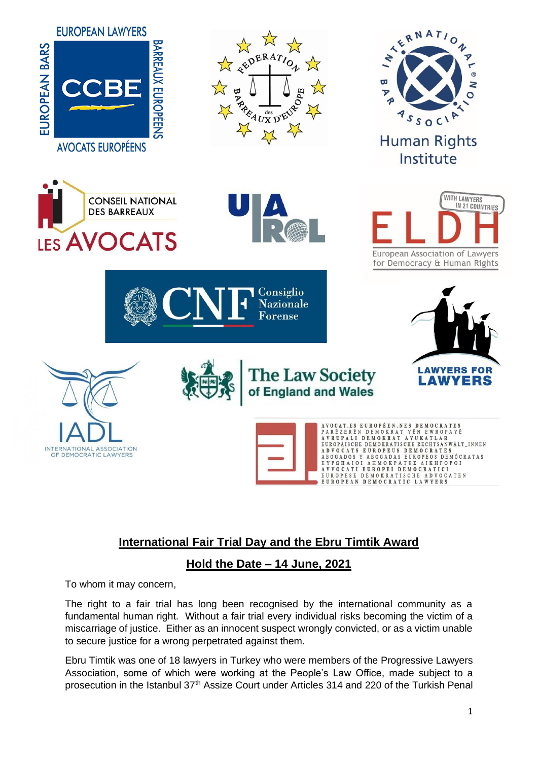**EUROPEAN LAWYERS** 

**CONSEIL NATIONAL** 

**DES BARREAUX** 

LES AVOCATS







**Human Rights** Institute



**LAWYERS FOR** LAWYERS











## **International Fair Trial Day and the Ebru Timtik Award**

**Hold the Date – 14 June, 2021**

To whom it may concern,

The right to a fair trial has long been recognised by the international community as a fundamental human right. Without a fair trial every individual risks becoming the victim of a miscarriage of justice. Either as an innocent suspect wrongly convicted, or as a victim unable to secure justice for a wrong perpetrated against them.

Ebru Timtik was one of 18 lawyers in Turkey who were members of the Progressive Lawyers Association, some of which were working at the People's Law Office, made subject to a prosecution in the Istanbul 37<sup>th</sup> Assize Court under Articles 314 and 220 of the Turkish Penal